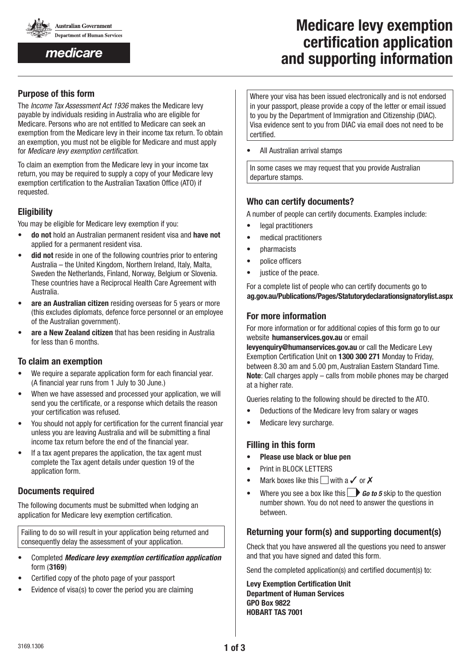

medicare

# **Medicare levy exemption certification application and supporting information**

## **Purpose of this form**

The *Income Tax Assessment Act 1936* makes the Medicare levy payable by individuals residing in Australia who are eligible for Medicare. Persons who are not entitled to Medicare can seek an exemption from the Medicare levy in their income tax return. To obtain an exemption, you must not be eligible for Medicare and must apply for *Medicare levy exemption certification*.

To claim an exemption from the Medicare levy in your income tax return, you may be required to supply a copy of your Medicare levy exemption certification to the Australian Taxation Office (ATO) if requested.

## **Eligibility**

You may be eligible for Medicare levy exemption if you:

- • **do not** hold an Australian permanent resident visa and **have not** applied for a permanent resident visa.
- **did not** reside in one of the following countries prior to entering Australia – the United Kingdom, Northern Ireland, Italy, Malta, Sweden the Netherlands, Finland, Norway, Belgium or Slovenia. These countries have a Reciprocal Health Care Agreement with Australia.
- are an Australian citizen residing overseas for 5 years or more (this excludes diplomats, defence force personnel or an employee of the Australian government).
- are a New Zealand citizen that has been residing in Australia for less than 6 months.

## **To claim an exemption**

- We require a separate application form for each financial year. (A financial year runs from 1 July to 30 June.)
- When we have assessed and processed your application, we will send you the certificate, or a response which details the reason your certification was refused.
- You should not apply for certification for the current financial year unless you are leaving Australia and will be submitting a final income tax return before the end of the financial year.
- If a tax agent prepares the application, the tax agent must complete the Tax agent details under question 19 of the application form.

## **Documents required**

The following documents must be submitted when lodging an application for Medicare levy exemption certification.

Failing to do so will result in your application being returned and consequently delay the assessment of your application.

- • Completed *Medicare levy exemption certification application* form (**3169**)
- Certified copy of the photo page of your passport
- Evidence of visa(s) to cover the period you are claiming

Where your visa has been issued electronically and is not endorsed in your passport, please provide a copy of the letter or email issued to you by the Department of Immigration and Citizenship (DIAC). Visa evidence sent to you from DIAC via email does not need to be certified.

All Australian arrival stamps

In some cases we may request that you provide Australian departure stamps.

## **Who can certify documents?**

A number of people can certify documents. Examples include:

- • legal practitioners
- medical practitioners
- **pharmacists**
- • police officers
- justice of the peace.

For a complete list of people who can certify documents go to www.**ag.gov.au/Publications/Pages/Statutorydeclarationsignatorylist.aspx**

## **For more information**

For more information or for additional copies of this form go to our website **humanservices.gov.au** or email

**levyenquiry@humanservices.gov.au** or call the Medicare Levy Exemption Certification Unit on **1300 300 271** Monday to Friday, between 8.30 am and 5.00 pm, Australian Eastern Standard Time. **Note**: Call charges apply – calls from mobile phones may be charged at a higher rate.

Queries relating to the following should be directed to the ATO.

- • Deductions of the Medicare levy from salary or wages
- Medicare levy surcharge.

## **Filling in this form**

- • **Please use black or blue pen**
- Print in BLOCK LETTERS
- Mark boxes like this  $\Box$  with a  $\checkmark$  or  $\checkmark$
- Where you see a box like this  $\Box$  **Go to 5** skip to the question number shown. You do not need to answer the questions in between.

## **Returning your form(s) and supporting document(s)**

Check that you have answered all the questions you need to answer and that you have signed and dated this form.

Send the completed application(s) and certified document(s) to:

**Levy Exemption Certification Unit Department of Human Services GPO Box 9822 HOBART TAS 7001**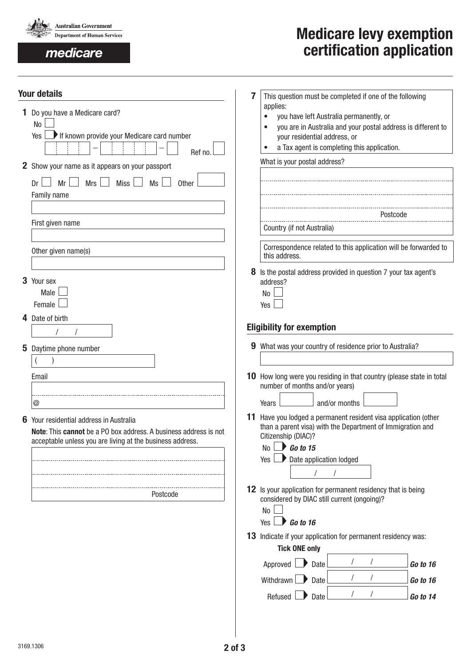

## medicare

# **Medicare levy exemption certification application**

| <b>Your details</b><br>1 Do you have a Medicare card?<br>No<br>If known provide your Medicare card number<br>Yes<br>Ref no.<br>2 Show your name as it appears on your passport<br>Mrs<br>Miss <sup>1</sup><br>Ms<br>Mr<br>Other<br>Dr | 7 | This question must be completed if one of the following<br>applies:<br>you have left Australia permanently, or<br>you are in Australia and your postal address is different to<br>your residential address, or<br>a Tax agent is completing this application.<br>What is your postal address? |
|---------------------------------------------------------------------------------------------------------------------------------------------------------------------------------------------------------------------------------------|---|-----------------------------------------------------------------------------------------------------------------------------------------------------------------------------------------------------------------------------------------------------------------------------------------------|
| Family name                                                                                                                                                                                                                           |   |                                                                                                                                                                                                                                                                                               |
|                                                                                                                                                                                                                                       |   | Postcode                                                                                                                                                                                                                                                                                      |
| First given name                                                                                                                                                                                                                      |   | Country (if not Australia)                                                                                                                                                                                                                                                                    |
| Other given name(s)                                                                                                                                                                                                                   |   | Correspondence related to this application will be forwarded to<br>this address.                                                                                                                                                                                                              |
| 3 Your sex<br>Male<br>Female                                                                                                                                                                                                          | 8 | Is the postal address provided in question 7 your tax agent's<br>address?<br><b>No</b><br>Yes                                                                                                                                                                                                 |
| 4 Date of birth                                                                                                                                                                                                                       |   |                                                                                                                                                                                                                                                                                               |
|                                                                                                                                                                                                                                       |   | <b>Eligibility for exemption</b>                                                                                                                                                                                                                                                              |
| 5 Daytime phone number                                                                                                                                                                                                                |   | 9 What was your country of residence prior to Australia?                                                                                                                                                                                                                                      |
|                                                                                                                                                                                                                                       |   |                                                                                                                                                                                                                                                                                               |
| Email                                                                                                                                                                                                                                 |   | 10 How long were you residing in that country (please state in total<br>number of months and/or years)                                                                                                                                                                                        |
| $^\text{\textregistered}$                                                                                                                                                                                                             |   | and/or months<br>Years                                                                                                                                                                                                                                                                        |
| 6 Your residential address in Australia<br>Note: This cannot be a PO box address. A business address is not<br>acceptable unless you are living at the business address.                                                              |   | 11 Have you lodged a permanent resident visa application (other<br>than a parent visa) with the Department of Immigration and<br>Citizenship (DIAC)?<br>$\blacksquare$<br>Go to 15<br>No l<br>Date application lodged<br>Yes                                                                  |
| Postcode                                                                                                                                                                                                                              |   | 12 Is your application for permanent residency that is being<br>considered by DIAC still current (ongoing)?<br><b>No</b>                                                                                                                                                                      |
|                                                                                                                                                                                                                                       |   | $\bigcup$ Go to 16<br>Yes<br>13 Indicate if your application for permanent residency was:<br><b>Tick ONE only</b>                                                                                                                                                                             |
|                                                                                                                                                                                                                                       |   | Approved<br>Date<br>Go to 16                                                                                                                                                                                                                                                                  |
|                                                                                                                                                                                                                                       |   | Withdrawn<br>Date<br>Go to 16                                                                                                                                                                                                                                                                 |
|                                                                                                                                                                                                                                       |   | Refused<br>Date<br>Go to 14                                                                                                                                                                                                                                                                   |
|                                                                                                                                                                                                                                       |   |                                                                                                                                                                                                                                                                                               |